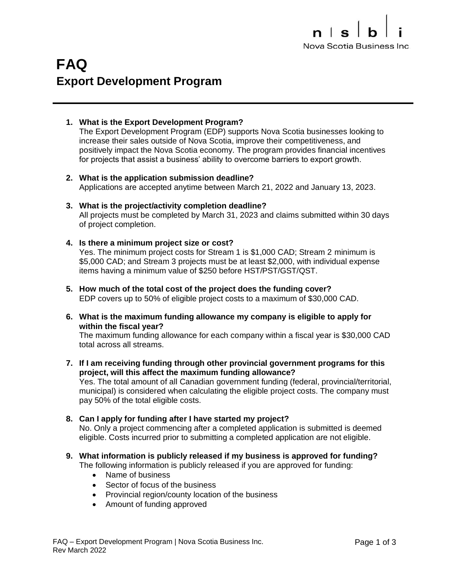# **FAQ Export Development Program**

# **1. What is the Export Development Program?**

The Export Development Program (EDP) supports Nova Scotia businesses looking to increase their sales outside of Nova Scotia, improve their competitiveness, and positively impact the Nova Scotia economy. The program provides financial incentives for projects that assist a business' ability to overcome barriers to export growth.

- **2. What is the application submission deadline?** Applications are accepted anytime between March 21, 2022 and January 13, 2023.
- **3. What is the project/activity completion deadline?** All projects must be completed by March 31, 2023 and claims submitted within 30 days of project completion.
- **4. Is there a minimum project size or cost?**

Yes. The minimum project costs for Stream 1 is \$1,000 CAD; Stream 2 minimum is \$5,000 CAD; and Stream 3 projects must be at least \$2,000, with individual expense items having a minimum value of \$250 before HST/PST/GST/QST.

- **5. How much of the total cost of the project does the funding cover?** EDP covers up to 50% of eligible project costs to a maximum of \$30,000 CAD.
- **6. What is the maximum funding allowance my company is eligible to apply for within the fiscal year?**

The maximum funding allowance for each company within a fiscal year is \$30,000 CAD total across all streams.

- **7. If I am receiving funding through other provincial government programs for this project, will this affect the maximum funding allowance?** Yes. The total amount of all Canadian government funding (federal, provincial/territorial, municipal) is considered when calculating the eligible project costs. The company must pay 50% of the total eligible costs.
- **8. Can I apply for funding after I have started my project?** No. Only a project commencing after a completed application is submitted is deemed eligible. Costs incurred prior to submitting a completed application are not eligible.
- **9. What information is publicly released if my business is approved for funding?** The following information is publicly released if you are approved for funding:
	- Name of business
	- Sector of focus of the business
	- Provincial region/county location of the business
	- Amount of funding approved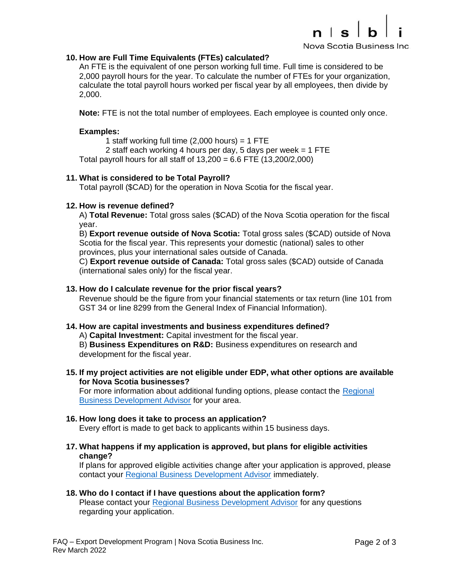

Nova Scotia Business Inc.

## **10. How are Full Time Equivalents (FTEs) calculated?**

An FTE is the equivalent of one person working full time. Full time is considered to be 2,000 payroll hours for the year. To calculate the number of FTEs for your organization, calculate the total payroll hours worked per fiscal year by all employees, then divide by 2,000.

**Note:** FTE is not the total number of employees. Each employee is counted only once.

## **Examples:**

1 staff working full time  $(2,000$  hours) = 1 FTE

2 staff each working 4 hours per day, 5 days per week = 1 FTE Total payroll hours for all staff of 13,200 = 6.6 FTE (13,200/2,000)

## **11. What is considered to be Total Payroll?**

Total payroll (\$CAD) for the operation in Nova Scotia for the fiscal year.

## **12. How is revenue defined?**

A) **Total Revenue:** Total gross sales (\$CAD) of the Nova Scotia operation for the fiscal year.

B) **Export revenue outside of Nova Scotia:** Total gross sales (\$CAD) outside of Nova Scotia for the fiscal year. This represents your domestic (national) sales to other provinces, plus your international sales outside of Canada.

C) **Export revenue outside of Canada:** Total gross sales (\$CAD) outside of Canada (international sales only) for the fiscal year.

## **13. How do I calculate revenue for the prior fiscal years?**

Revenue should be the figure from your financial statements or tax return (line 101 from GST 34 or line 8299 from the General Index of Financial Information).

#### **14. How are capital investments and business expenditures defined?**

A) **Capital Investment:** Capital investment for the fiscal year.

B) **Business Expenditures on R&D:** Business expenditures on research and development for the fiscal year.

**15. If my project activities are not eligible under EDP, what other options are available for Nova Scotia businesses?**

For more information about additional funding options, please contact the [Regional](https://www.novascotiabusiness.com/contact/regional-team)  [Business Development Advisor](https://www.novascotiabusiness.com/contact/regional-team) for your area.

## **16. How long does it take to process an application?**

Every effort is made to get back to applicants within 15 business days.

**17. What happens if my application is approved, but plans for eligible activities change?**

If plans for approved eligible activities change after your application is approved, please contact your [Regional Business Development Advisor](https://www.novascotiabusiness.com/contact/regional-team) immediately.

**18. Who do I contact if I have questions about the application form?** Please contact your [Regional Business Development Advisor](https://www.novascotiabusiness.com/contact/regional-team) for any questions regarding your application.